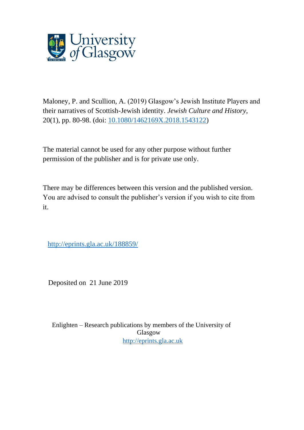

Maloney, P. and Scullion, A. (2019) Glasgow's Jewish Institute Players and their narratives of Scottish-Jewish identity. *Jewish Culture and History*, 20(1), pp. 80-98. (doi: [10.1080/1462169X.2018.1543122\)](http://dx.doi.org/10.1080/1462169X.2018.1543122)

The material cannot be used for any other purpose without further permission of the publisher and is for private use only.

There may be differences between this version and the published version. You are advised to consult the publisher's version if you wish to cite from it.

<http://eprints.gla.ac.uk/188859/>

Deposited on 21 June 2019

Enlighten – Research publications by members of the University of Glasgow [http://eprints.gla.ac.uk](http://eprints.gla.ac.uk/)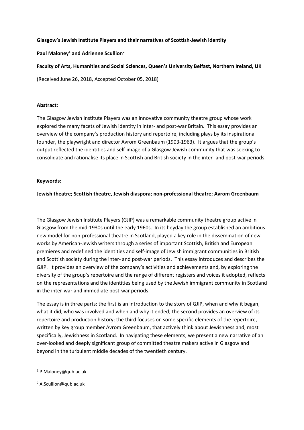## **Glasgow's Jewish Institute Players and their narratives of Scottish-Jewish identity**

## **Paul Maloney1 and Adrienne Scullion2**

# **Faculty of Arts, Humanities and Social Sciences, Queen's University Belfast, Northern Ireland, UK**

(Received June 26, 2018, Accepted October 05, 2018)

## **Abstract:**

The Glasgow Jewish Institute Players was an innovative community theatre group whose work explored the many facets of Jewish identity in inter- and post-war Britain. This essay provides an overview of the company's production history and repertoire, including plays by its inspirational founder, the playwright and director Avrom Greenbaum (1903-1963). It argues that the group's output reflected the identities and self-image of a Glasgow Jewish community that was seeking to consolidate and rationalise its place in Scottish and British society in the inter- and post-war periods.

## **Keywords:**

## **Jewish theatre; Scottish theatre, Jewish diaspora; non-professional theatre; Avrom Greenbaum**

The Glasgow Jewish Institute Players (GJIP) was a remarkable community theatre group active in Glasgow from the mid-1930s until the early 1960s. In its heyday the group established an ambitious new model for non-professional theatre in Scotland, played a key role in the dissemination of new works by American-Jewish writers through a series of important Scottish, British and European premieres and redefined the identities and self-image of Jewish immigrant communities in British and Scottish society during the inter- and post-war periods. This essay introduces and describes the GJIP. It provides an overview of the company's activities and achievements and, by exploring the diversity of the group's repertoire and the range of different registers and voices it adopted, reflects on the representations and the identities being used by the Jewish immigrant community in Scotland in the inter-war and immediate post-war periods.

The essay is in three parts: the first is an introduction to the story of GJIP, when and why it began, what it did, who was involved and when and why it ended; the second provides an overview of its repertoire and production history; the third focuses on some specific elements of the repertoire, written by key group member Avrom Greenbaum, that actively think about Jewishness and, most specifically, Jewishness in Scotland. In navigating these elements, we present a new narrative of an over-looked and deeply significant group of committed theatre makers active in Glasgow and beyond in the turbulent middle decades of the twentieth century.

 <sup>1</sup> P.Maloney@qub.ac.uk

<sup>2</sup> A.Scullion@qub.ac.uk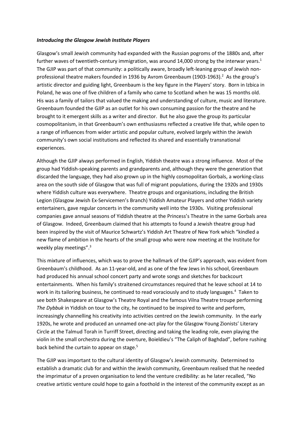## *Introducing the Glasgow Jewish Institute Players*

Glasgow's small Jewish community had expanded with the Russian pogroms of the 1880s and, after further waves of twentieth-century immigration, was around 14,000 strong by the interwar years.<sup>1</sup> The GJIP was part of that community: a politically aware, broadly left-leaning group of Jewish nonprofessional theatre makers founded in 1936 by Avrom Greenbaum (1903-1963).<sup>2</sup> As the group's artistic director and guiding light, Greenbaum is the key figure in the Players' story. Born in Izbica in Poland, he was one of five children of a family who came to Scotland when he was 15 months old. His was a family of tailors that valued the making and understanding of culture, music and literature. Greenbaum founded the GJIP as an outlet for his own consuming passion for the theatre and he brought to it emergent skills as a writer and director. But he also gave the group its particular cosmopolitanism, in that Greenbaum's own enthusiasms reflected a creative life that, while open to a range of influences from wider artistic and popular culture, evolved largely within the Jewish community's own social institutions and reflected its shared and essentially transnational experiences.

Although the GJIP always performed in English, Yiddish theatre was a strong influence. Most of the group had Yiddish-speaking parents and grandparents and, although they were the generation that discarded the language, they had also grown up in the highly cosmopolitan Gorbals, a working-class area on the south side of Glasgow that was full of migrant populations, during the 1920s and 1930s where Yiddish culture was everywhere. Theatre groups and organisations, including the British Legion (Glasgow Jewish Ex-Servicemen's Branch) Yiddish Amateur Players and other Yiddish variety entertainers, gave regular concerts in the community well into the 1930s. Visiting professional companies gave annual seasons of Yiddish theatre at the Princess's Theatre in the same Gorbals area of Glasgow. Indeed, Greenbaum claimed that his attempts to found a Jewish theatre group had been inspired by the visit of Maurice Schwartz's Yiddish Art Theatre of New York which "kindled a new flame of ambition in the hearts of the small group who were now meeting at the Institute for weekly play meetings".<sup>3</sup>

This mixture of influences, which was to prove the hallmark of the GJIP's approach, was evident from Greenbaum's childhood. As an 11-year-old, and as one of the few Jews in his school, Greenbaum had produced his annual school concert party and wrote songs and sketches for backcourt entertainments. When his family's straitened circumstances required that he leave school at 14 to work in its tailoring business, he continued to read voraciously and to study languages.4 Taken to see both Shakespeare at Glasgow's Theatre Royal and the famous Vilna Theatre troupe performing *The Dybbuk* in Yiddish on tour to the city, he continued to be inspired to write and perform, increasingly channelling his creativity into activities centred on the Jewish community. In the early 1920s, he wrote and produced an unnamed one-act play for the Glasgow Young Zionists' Literary Circle at the Talmud Torah in Turriff Street, directing and taking the leading role, even playing the violin in the small orchestra during the overture, Boieldieu's "The Caliph of Baghdad", before rushing back behind the curtain to appear on stage.<sup>5</sup>

The GJIP was important to the cultural identity of Glasgow's Jewish community. Determined to establish a dramatic club for and within the Jewish community, Greenbaum realised that he needed the imprimatur of a proven organisation to lend the venture credibility: as he later recalled, "No creative artistic venture could hope to gain a foothold in the interest of the community except as an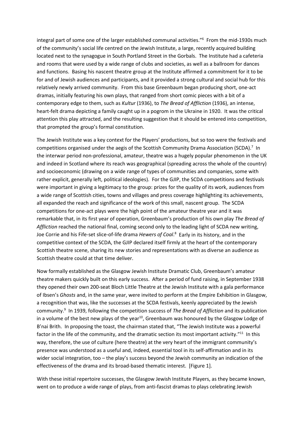integral part of some one of the larger established communal activities."6 From the mid-1930s much of the community's social life centred on the Jewish Institute, a large, recently acquired building located next to the synagogue in South Portland Street in the Gorbals. The Institute had a cafeteria and rooms that were used by a wide range of clubs and societies, as well as a ballroom for dances and functions. Basing his nascent theatre group at the Institute affirmed a commitment for it to be for and of Jewish audiences and participants, and it provided a strong cultural and social hub for this relatively newly arrived community. From this base Greenbaum began producing short, one-act dramas, initially featuring his own plays, that ranged from short comic pieces with a bit of a contemporary edge to them, such as *Kultur* (1936), to *The Bread of Affliction* (1936), an intense, heart-felt drama depicting a family caught up in a pogrom in the Ukraine in 1920. It was the critical attention this play attracted, and the resulting suggestion that it should be entered into competition, that prompted the group's formal constitution.

The Jewish Institute was a key context for the Players' productions, but so too were the festivals and competitions organised under the aegis of the Scottish Community Drama Association (SCDA).<sup>7</sup> In the interwar period non-professional, amateur, theatre was a hugely popular phenomenon in the UK and indeed in Scotland where its reach was geographical (spreading across the whole of the country) and socioeconomic (drawing on a wide range of types of communities and companies, some with rather explicit, generally left, political ideologies). For the GJIP, the SCDA competitions and festivals were important in giving a legitimacy to the group: prizes for the quality of its work, audiences from a wide range of Scottish cities, towns and villages and press coverage highlighting its achievements, all expanded the reach and significance of the work of this small, nascent group. The SCDA competitions for one-act plays were the high point of the amateur theatre year and it was remarkable that, in its first year of operation, Greenbaum's production of his own play *The Bread of Affliction* reached the national final, coming second only to the leading light of SCDA new writing, Joe Corrie and his Fife-set slice-of-life drama *Hewers of Coal*. <sup>8</sup> Early in its history, and in the competitive context of the SCDA, the GJIP declared itself firmly at the heart of the contemporary Scottish theatre scene, sharing its new stories and representations with as diverse an audience as Scottish theatre could at that time deliver.

Now formally established as the Glasgow Jewish Institute Dramatic Club, Greenbaum's amateur theatre makers quickly built on this early success. After a period of fund raising, in September 1938 they opened their own 200-seat Bloch Little Theatre at the Jewish Institute with a gala performance of Ibsen's *Ghosts* and, in the same year, were invited to perform at the Empire Exhibition in Glasgow, a recognition that was, like the successes at the SCDA festivals, keenly appreciated by the Jewish community.9 In 1939, following the competition success of *The Bread of Affliction* and its publication in a volume of the best new plays of the year<sup>10</sup>, Greenbaum was honoured by the Glasgow Lodge of B'nai Brith. In proposing the toast, the chairman stated that, "The Jewish Institute was a powerful factor in the life of the community, and the dramatic section its most important activity."<sup>11</sup> In this way, therefore, the use of culture (here theatre) at the very heart of the immigrant community's presence was understood as a useful and, indeed, essential tool in its self-affirmation and in its wider social integration, too – the play's success beyond the Jewish community an indication of the effectiveness of the drama and its broad-based thematic interest. [Figure 1].

With these initial repertoire successes, the Glasgow Jewish Institute Players, as they became known, went on to produce a wide range of plays, from anti-fascist dramas to plays celebrating Jewish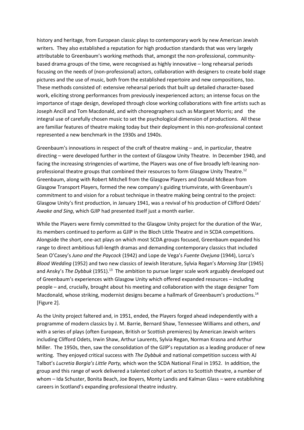history and heritage, from European classic plays to contemporary work by new American Jewish writers. They also established a reputation for high production standards that was very largely attributable to Greenbaum's working methods that, amongst the non-professional, communitybased drama groups of the time, were recognised as highly innovative – long rehearsal periods focusing on the needs of (non-professional) actors, collaboration with designers to create bold stage pictures and the use of music, both from the established repertoire and new compositions, too. These methods consisted of: extensive rehearsal periods that built up detailed character-based work, eliciting strong performances from previously inexperienced actors; an intense focus on the importance of stage design, developed through close working collaborations with fine artists such as Joseph Ancill and Tom Macdonald, and with choreographers such as Margaret Morris; and the integral use of carefully chosen music to set the psychological dimension of productions. All these are familiar features of theatre making today but their deployment in this non-professional context represented a new benchmark in the 1930s and 1940s.

Greenbaum's innovations in respect of the craft of theatre making – and, in particular, theatre directing – were developed further in the context of Glasgow Unity Theatre. In December 1940, and facing the increasing stringencies of wartime, the Players was one of five broadly left-leaning nonprofessional theatre groups that combined their resources to form Glasgow Unity Theatre.<sup>12</sup> Greenbaum, along with Robert Mitchell from the Glasgow Players and Donald McBean from Glasgow Transport Players, formed the new company's guiding triumvirate, with Greenbaum's commitment to and vision for a robust technique in theatre making being central to the project: Glasgow Unity's first production, in January 1941, was a revival of his production of Clifford Odets' *Awake and Sing*, which GJIP had presented itself just a month earlier.

While the Players were firmly committed to the Glasgow Unity project for the duration of the War, its members continued to perform as GJIP in the Bloch Little Theatre and in SCDA competitions. Alongside the short, one-act plays on which most SCDA groups focused, Greenbaum expanded his range to direct ambitious full-length dramas and demanding contemporary classics that included Sean O'Casey's *Juno and the Paycock* (1942) and Lope de Vega's *Fuente Ovejuna* (1944), Lorca's *Blood Wedding* (1952) and two new classics of Jewish literature, Sylvia Regan's *Morning Star* (1945) and Ansky's *The Dybbuk* (1951).<sup>13</sup> The ambition to pursue larger scale work arguably developed out of Greenbaum's experiences with Glasgow Unity which offered expanded resources – including people – and, crucially, brought about his meeting and collaboration with the stage designer Tom Macdonald, whose striking, modernist designs became a hallmark of Greenbaum's productions.14 [Figure 2].

As the Unity project faltered and, in 1951, ended, the Players forged ahead independently with a programme of modern classics by J. M. Barrie, Bernard Shaw, Tennessee Williams and others, *and* with a series of plays (often European, British or Scottish premieres) by American Jewish writers including Clifford Odets, Irwin Shaw, Arthur Laurents, Sylvia Regan, Norman Krasna and Arthur Miller. The 1950s, then, saw the consolidation of the GJIP's reputation as a leading producer of new writing. They enjoyed critical success with *The Dybbuk* and national competition success with AJ Talbot's *Lucretia Borgia's Little Party,* which won the SCDA National Final in 1952. In addition, the group and this range of work delivered a talented cohort of actors to Scottish theatre, a number of whom – Ida Schuster, Bonita Beach, Joe Boyers, Monty Landis and Kalman Glass – were establishing careers in Scotland's expanding professional theatre industry.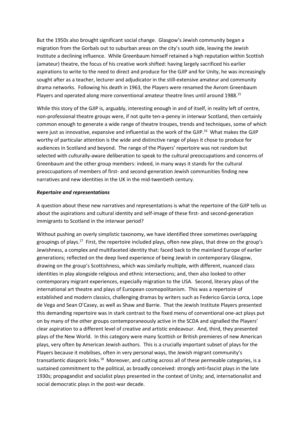But the 1950s also brought significant social change. Glasgow's Jewish community began a migration from the Gorbals out to suburban areas on the city's south side, leaving the Jewish Institute a declining influence. While Greenbaum himself retained a high reputation within Scottish (amateur) theatre, the focus of his creative work shifted: having largely sacrificed his earlier aspirations to write to the need to direct and produce for the GJIP and for Unity, he was increasingly sought after as a teacher, lecturer and adjudicator in the still-extensive amateur and community drama networks. Following his death in 1963, the Players were renamed the Avrom Greenbaum Players and operated along more conventional amateur theatre lines until around 1988.15

While this story of the GJIP is, arguably, interesting enough in and of itself, in reality left of centre, non-professional theatre groups were, if not quite ten-a-penny in interwar Scotland, then certainly common enough to generate a wide range of theatre troupes, trends and techniques, some of which were just as innovative, expansive and influential as the work of the GJIP.<sup>16</sup> What makes the GJIP worthy of particular attention is the wide and distinctive range of plays it chose to produce for audiences in Scotland and beyond. The range of the Players' repertoire was not random but selected with culturally-aware deliberation to speak to the cultural preoccupations and concerns of Greenbaum and the other group members: indeed, in many ways it stands for the cultural preoccupations of members of first- and second-generation Jewish communities finding new narratives and new identities in the UK in the mid-twentieth century.

#### *Repertoire and representations*

A question about these new narratives and representations is what the repertoire of the GJIP tells us about the aspirations and cultural identity and self-image of these first- and second-generation immigrants to Scotland in the interwar period?

Without pushing an overly simplistic taxonomy, we have identified three sometimes overlapping groupings of plays.<sup>17</sup> First, the repertoire included plays, often new plays, that drew on the group's Jewishness, a complex and multifaceted identity that: faced back to the mainland Europe of earlier generations; reflected on the deep lived experience of being Jewish in contemporary Glasgow, drawing on the group's Scottishness, which was similarly multiple, with different, nuanced class identities in play alongside religious and ethnic intersections; and, then also looked to other contemporary migrant experiences, especially migration to the USA. Second, literary plays of the international art theatre and plays of European cosmopolitanism. This was a repertoire of established and modern classics, challenging dramas by writers such as Federico Garcia Lorca, Lope de Vega and Sean O'Casey, as well as Shaw and Barrie. That the Jewish Institute Players presented this demanding repertoire was in stark contrast to the fixed menu of conventional one-act plays put on by many of the other groups contemporaneously active in the SCDA and signalled the Players' clear aspiration to a different level of creative and artistic endeavour. And, third, they presented plays of the New World. In this category were many Scottish or British premieres of new American plays, very often by American Jewish authors. This is a crucially important subset of plays for the Players because it mobilises, often in very personal ways, the Jewish migrant community's transatlantic diasporic links.<sup>18</sup> Moreover, and cutting across all of these permeable categories, is a sustained commitment to the political, as broadly conceived: strongly anti-fascist plays in the late 1930s; propagandist and socialist plays presented in the context of Unity; and, internationalist and social democratic plays in the post-war decade.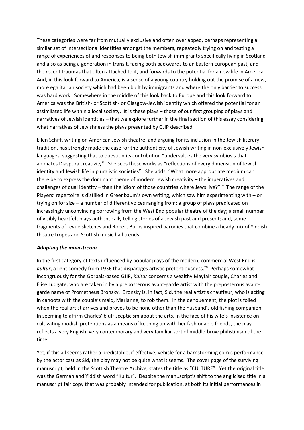These categories were far from mutually exclusive and often overlapped, perhaps representing a similar set of intersectional identities amongst the members, repeatedly trying on and testing a range of experiences of and responses to being both Jewish immigrants specifically living in Scotland and also as being a generation in transit, facing both backwards to an Eastern European past, and the recent traumas that often attached to it, and forwards to the potential for a new life in America. And, in this look forward to America, is a sense of a young country holding out the promise of a new, more egalitarian society which had been built by immigrants and where the only barrier to success was hard work. Somewhere in the middle of this look back to Europe and this look forward to America was the British- or Scottish- or Glasgow-Jewish identity which offered the potential for an assimilated life within a local society. It is these plays – those of our first grouping of plays and narratives of Jewish identities – that we explore further in the final section of this essay considering what narratives of Jewishness the plays presented by GJIP described.

Ellen Schiff, writing on American Jewish theatre, and arguing for its inclusion in the Jewish literary tradition, has strongly made the case for the authenticity of Jewish writing in non-exclusively Jewish languages, suggesting that to question its contribution "undervalues the very symbiosis that animates Diaspora creativity". She sees these works as "reflections of every dimension of Jewish identity and Jewish life in pluralistic societies". She adds: "What more appropriate medium can there be to express the dominant theme of modern Jewish creativity – the imperatives and challenges of dual identity – than the idiom of those countries where Jews live?"<sup>19</sup> The range of the Players' repertoire is distilled in Greenbaum's own writing, which saw him experimenting with – or trying on for size – a number of different voices ranging from: a group of plays predicated on increasingly unconvincing borrowing from the West End popular theatre of the day; a small number of visibly heartfelt plays authentically telling stories of a Jewish past and present; and, some fragments of revue sketches and Robert Burns inspired parodies that combine a heady mix of Yiddish theatre tropes and Scottish music hall trends.

## *Adapting the mainstream*

In the first category of texts influenced by popular plays of the modern, commercial West End is Kultur, a light comedy from 1936 that disparages artistic pretentiousness.<sup>20</sup> Perhaps somewhat incongruously for the Gorbals-based GJIP, *Kultur* concerns a wealthy Mayfair couple, Charles and Elise Ludgate, who are taken in by a preposterous avant-garde artist with the preposterous avantgarde name of Prometheus Bronsky. Bronsky is, in fact, Sid, the real artist's chauffeur, who is acting in cahoots with the couple's maid, Marianne, to rob them. In the denouement, the plot is foiled when the real artist arrives and proves to be none other than the husband's old fishing companion. In seeming to affirm Charles' bluff scepticism about the arts, in the face of his wife's insistence on cultivating modish pretentions as a means of keeping up with her fashionable friends, the play reflects a very English, very contemporary and very familiar sort of middle-brow philistinism of the time.

Yet, if this all seems rather a predictable, if effective, vehicle for a barnstorming comic performance by the actor cast as Sid, the play may not be quite what it seems. The cover page of the surviving manuscript, held in the Scottish Theatre Archive, states the title as "CULTURE". Yet the original title was the German and Yiddish word "Kultur". Despite the manuscript's shift to the anglicised title in a manuscript fair copy that was probably intended for publication, at both its initial performances in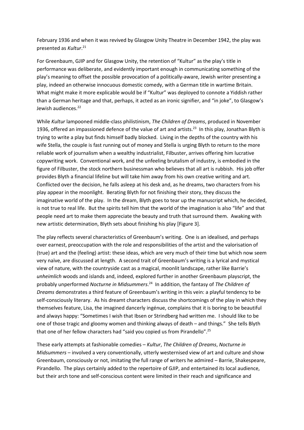February 1936 and when it was revived by Glasgow Unity Theatre in December 1942, the play was presented as *Kultur*. 21

For Greenbaum, GJIP and for Glasgow Unity, the retention of "Kultur" as the play's title in performance was deliberate, and evidently important enough in communicating something of the play's meaning to offset the possible provocation of a politically-aware, Jewish writer presenting a play, indeed an otherwise innocuous domestic comedy, with a German title in wartime Britain. What might make it more explicable would be if "Kultur" was deployed to connote a Yiddish rather than a German heritage and that, perhaps, it acted as an ironic signifier, and "in joke", to Glasgow's Jewish audiences.<sup>22</sup>

While *Kultur* lampooned middle-class philistinism, *The Children of Dreams*, produced in November 1936, offered an impassioned defence of the value of art and artists.<sup>23</sup> In this play, Jonathan Blyth is trying to write a play but finds himself badly blocked. Living in the depths of the country with his wife Stella, the couple is fast running out of money and Stella is urging Blyth to return to the more reliable work of journalism when a wealthy industrialist, Filbuster, arrives offering him lucrative copywriting work. Conventional work, and the unfeeling brutalism of industry, is embodied in the figure of Filbuster, the stock northern businessman who believes that all art is rubbish. His job offer provides Blyth a financial lifeline but will take him away from his own creative writing and art. Conflicted over the decision, he falls asleep at his desk and, as he dreams, two characters from his play appear in the moonlight. Berating Blyth for not finishing their story, they discuss the imaginative world of the play. In the dream, Blyth goes to tear up the manuscript which, he decided, is not true to real life. But the spirits tell him that the world of the imagination is also "life" and that people need art to make them appreciate the beauty and truth that surround them. Awaking with new artistic determination, Blyth sets about finishing his play [Figure 3].

The play reflects several characteristics of Greenbaum's writing. One is an idealised, and perhaps over earnest, preoccupation with the role and responsibilities of the artist and the valorisation of (true) art and the (feeling) artist: these ideas, which are very much of their time but which now seem very naïve, are discussed at length. A second trait of Greenbaum's writing is a lyrical and mystical view of nature, with the countryside cast as a magical, moonlit landscape, rather like Barrie's *unheimlich* woods and islands and, indeed, explored further in another Greenbaum playscript, the probably unperformed *Nocturne in Midsummers*. 24 In addition, the fantasy of *The Children of Dreams* demonstrates a third feature of Greenbaum's writing in this vein: a playful tendency to be self-consciously literary. As his dreamt characters discuss the shortcomings of the play in which they themselves feature, Lisa, the imagined dancerly ingénue, complains that it is boring to be beautiful and always happy: "Sometimes I wish that Ibsen or Strindberg had written me. I should like to be one of those tragic and gloomy women and thinking always of death – and things." She tells Blyth that one of her fellow characters had "said you copied us from Pirandello".<sup>25</sup>

These early attempts at fashionable comedies – *Kultur*, *The Children of Dreams*, *Nocturne in Midsummers* – involved a very conventionally, utterly westernised view of art and culture and show Greenbaum, consciously or not, imitating the full range of writers he admired – Barrie, Shakespeare, Pirandello. The plays certainly added to the repertoire of GJIP, and entertained its local audience, but their arch tone and self-conscious content were limited in their reach and significance and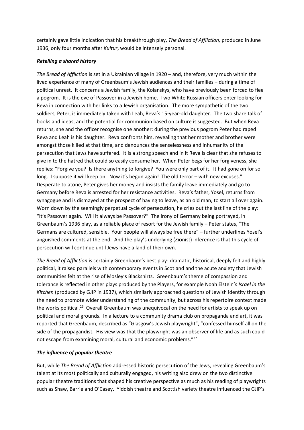certainly gave little indication that his breakthrough play, *The Bread of Affliction,* produced in June 1936, only four months after *Kultur*, would be intensely personal.

# *Retelling a shared history*

*The Bread of Affliction* is set in a Ukrainian village in 1920 – and, therefore, very much within the lived experience of many of Greenbaum's Jewish audiences and their families – during a time of political unrest. It concerns a Jewish family, the Kolanskys, who have previously been forced to flee a pogrom. It is the eve of Passover in a Jewish home. Two White Russian officers enter looking for Reva in connection with her links to a Jewish organisation. The more sympathetic of the two soldiers, Peter, is immediately taken with Leah, Reva's 15-year-old daughter. The two share talk of books and ideas, and the potential for communion based on culture is suggested. But when Reva returns, she and the officer recognise one another: during the previous pogrom Peter had raped Reva and Leah is his daughter. Reva confronts him, revealing that her mother and brother were amongst those killed at that time, and denounces the senselessness and inhumanity of the persecution that Jews have suffered. It is a strong speech and in it Reva is clear that she refuses to give in to the hatred that could so easily consume her. When Peter begs for her forgiveness, she replies: "Forgive you? Is there anything to forgive? You were only part of it. It had gone on for so long. I suppose it will keep on. Now it's begun again! The old terror – with new excuses." Desperate to atone, Peter gives her money and insists the family leave immediately and go to Germany before Reva is arrested for her resistance activities. Reva's father, Yosel, returns from synagogue and is dismayed at the prospect of having to leave, as an old man, to start all over again. Worn down by the seemingly perpetual cycle of persecution, he cries out the last line of the play: "It's Passover again. Will it always be Passover?" The irony of Germany being portrayed, in Greenbaum's 1936 play, as a reliable place of resort for the Jewish family – Peter states, "The Germans are cultured, sensible. Your people will always be free there" – further underlines Yosel's anguished comments at the end. And the play's underlying (Zionist) inference is that this cycle of persecution will continue until Jews have a land of their own.

*The Bread of Affliction* is certainly Greenbaum's best play: dramatic, historical, deeply felt and highly political, it raised parallels with contemporary events in Scotland and the acute anxiety that Jewish communities felt at the rise of Mosley's Blackshirts. Greenbaum's theme of compassion and tolerance is reflected in other plays produced by the Players, for example Noah Elstein's *Israel in the Kitchen* (produced by GJIP in 1937), which similarly approached questions of Jewish identity through the need to promote wider understanding of the community, but across his repertoire context made the works political.<sup>26</sup> Overall Greenbaum was unequivocal on the need for artists to speak up on political and moral grounds. In a lecture to a community drama club on propaganda and art, it was reported that Greenbaum, described as "Glasgow's Jewish playwright", "confessed himself all on the side of the propagandist. His view was that the playwright was an observer of life and as such could not escape from examining moral, cultural and economic problems."27

# *The influence of popular theatre*

But, while *The Bread of Affliction* addressed historic persecution of the Jews, revealing Greenbaum's talent at its most politically and culturally engaged, his writing also drew on the two distinctive popular theatre traditions that shaped his creative perspective as much as his reading of playwrights such as Shaw, Barrie and O'Casey. Yiddish theatre and Scottish variety theatre influenced the GJIP's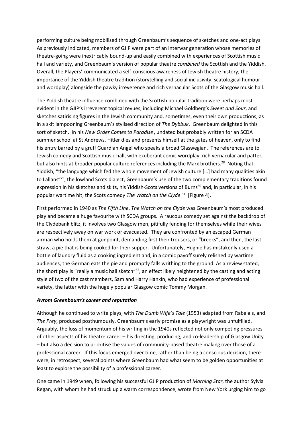performing culture being mobilised through Greenbaum's sequence of sketches and one-act plays. As previously indicated, members of GJIP were part of an interwar generation whose memories of theatre-going were inextricably bound-up and easily combined with experiences of Scottish music hall and variety, and Greenbaum's version of popular theatre *combined* the Scottish and the Yiddish. Overall, the Players' communicated a self-conscious awareness of Jewish theatre history, the importance of the Yiddish theatre tradition (storytelling and social inclusivity, scatological humour and wordplay) alongside the pawky irreverence and rich vernacular Scots of the Glasgow music hall.

The Yiddish theatre influence combined with the Scottish popular tradition were perhaps most evident in the GJIP's irreverent topical revues, including Michael Goldberg's *Sweet and Sour*, and sketches satirising figures in the Jewish community and, sometimes, even their own productions, as in a skit lampooning Greenbaum's stylised direction of *The Dybbuk*. Greenbaum delighted in this sort of sketch. In his *New Order Comes to Paradise* , undated but probably written for an SCDA summer school at St Andrews, Hitler dies and presents himself at the gates of heaven, only to find his entry barred by a gruff Guardian Angel who speaks a broad Glaswegian. The references are to Jewish comedy and Scottish music hall, with exuberant comic wordplay, rich vernacular and patter, but also hints at broader popular culture references including the Marx brothers.<sup>28</sup> Noting that Yiddish, "the language which fed the whole movement of Jewish culture […] had many qualities akin to Lallans"29, the lowland Scots dialect, Greenbaum's use of the two complementary traditions found expression in his sketches and skits, his Yiddish-Scots versions of Burns<sup>30</sup> and, in particular, in his popular wartime hit, the Scots comedy *The Watch on the Clyde*. <sup>31</sup> [Figure 4].

First performed in 1940 as *The Fifth Line*, *The Watch on the Clyde* was Greenbaum's most produced play and became a huge favourite with SCDA groups. A raucous comedy set against the backdrop of the Clydebank blitz, it involves two Glasgow men, pitifully fending for themselves while their wives are respectively away on war work or evacuated. They are confronted by an escaped German airman who holds them at gunpoint, demanding first their trousers, or "breeks", and then, the last straw, a pie that is being cooked for their supper. Unfortunately, Hughie has mistakenly used a bottle of laundry fluid as a cooking ingredient and, in a comic payoff surely relished by wartime audiences, the German eats the pie and promptly falls writhing to the ground. As a review stated, the short play is "really a music hall sketch"<sup>32</sup>, an effect likely heightened by the casting and acting style of two of the cast members, Sam and Harry Hankin, who had experience of professional variety, the latter with the hugely popular Glasgow comic Tommy Morgan.

## *Avrom Greenbaum's career and reputation*

Although he continued to write plays, with *The Dumb Wife's Tale* (1953) adapted from Rabelais, and *The Prey*, produced posthumously, Greenbaum's early promise as a playwright was unfulfilled. Arguably, the loss of momentum of his writing in the 1940s reflected not only competing pressures of other aspects of his theatre career – his directing, producing, and co-leadership of Glasgow Unity – but also a decision to prioritise the values of community-based theatre making over those of a professional career. If this focus emerged over time, rather than being a conscious decision, there were, in retrospect, several points where Greenbaum had what seem to be golden opportunities at least to explore the possibility of a professional career.

One came in 1949 when, following his successful GJIP production of *Morning Star*, the author Sylvia Regan, with whom he had struck up a warm correspondence, wrote from New York urging him to go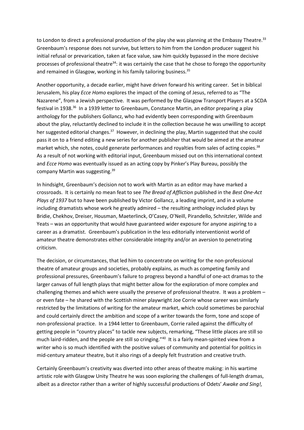to London to direct a professional production of the play she was planning at the Embassy Theatre.<sup>33</sup> Greenbaum's response does not survive, but letters to him from the London producer suggest his initial refusal or prevarication, taken at face value, saw him quickly bypassed in the more decisive processes of professional theatre<sup>34</sup>: it was certainly the case that he chose to forego the opportunity and remained in Glasgow, working in his family tailoring business.<sup>35</sup>

Another opportunity, a decade earlier, might have driven forward his writing career. Set in biblical Jerusalem, his play *Ecce Homo* explores the impact of the coming of Jesus, referred to as "The Nazarene", from a Jewish perspective. It was performed by the Glasgow Transport Players at a SCDA festival in 1938.<sup>36</sup> In a 1939 letter to Greenbaum, Constance Martin, an editor preparing a play anthology for the publishers Gollancz, who had evidently been corresponding with Greenbaum about the play, reluctantly declined to include it in the collection because he was unwilling to accept her suggested editorial changes.<sup>37</sup> However, in declining the play, Martin suggested that she could pass it on to a friend editing a new series for another publisher that would be aimed at the amateur market which, she notes, could generate performances and royalties from sales of acting copies.<sup>38</sup> As a result of not working with editorial input, Greenbaum missed out on this international context and *Ecce Homo* was eventually issued as an acting copy by Pinker's Play Bureau, possibly the company Martin was suggesting. 39

In hindsight, Greenbaum's decision not to work with Martin as an editor may have marked a crossroads. It is certainly no mean feat to see *The Bread of Affliction* published in the *Best One-Act Plays of 1937* but to have been published by Victor Gollancz, a leading imprint, and in a volume including dramatists whose work he greatly admired – the resulting anthology included plays by Bridie, Chekhov, Dreiser, Housman, Maeterlinck, O'Casey, O'Neill, Pirandello, Schnitzler, Wilde and Yeats – was an opportunity that would have guaranteed wider exposure for anyone aspiring to a career as a dramatist. Greenbaum's publication in the less editorially interventionist world of amateur theatre demonstrates either considerable integrity and/or an aversion to penetrating criticism.

The decision, or circumstances, that led him to concentrate on writing for the non-professional theatre of amateur groups and societies, probably explains, as much as competing family and professional pressures, Greenbaum's failure to progress beyond a handful of one-act dramas to the larger canvas of full length plays that might better allow for the exploration of more complex and challenging themes and which were usually the preserve of professional theatre. It was a problem – or even fate – he shared with the Scottish miner playwright Joe Corrie whose career was similarly restricted by the limitations of writing for the amateur market, which could sometimes be parochial and could certainly direct the ambition and scope of a writer towards the form, tone and scope of non-professional practice. In a 1944 letter to Greenbaum, Corrie railed against the difficulty of getting people in "country places" to tackle new subjects, remarking, "These little places are still so much laird-ridden, and the people are still so cringing."<sup>40</sup> It is a fairly mean-spirited view from a writer who is so much identified with the positive values of community and potential for politics in mid-century amateur theatre, but it also rings of a deeply felt frustration and creative truth.

Certainly Greenbaum's creativity was diverted into other areas of theatre making: in his wartime artistic role with Glasgow Unity Theatre he was soon exploring the challenges of full-length dramas, albeit as a director rather than a writer of highly successful productions of Odets' *Awake and Sing!,*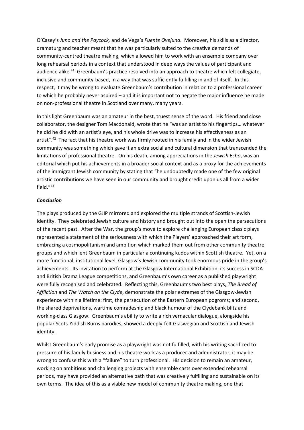O'Casey's *Juno and the Paycock,* and de Vega's *Fuente Ovejuna*. Moreover, his skills as a director, dramaturg and teacher meant that he was particularly suited to the creative demands of community-centred theatre making, which allowed him to work with an ensemble company over long rehearsal periods in a context that understood in deep ways the values of participant and audience alike.<sup>41</sup> Greenbaum's practice resolved into an approach to theatre which felt collegiate, inclusive and community-based, in a way that was sufficiently fulfilling in and of itself. In this respect, it may be wrong to evaluate Greenbaum's contribution in relation to a professional career to which he probably never aspired – and it is important not to negate the major influence he made on non-professional theatre in Scotland over many, many years.

In this light Greenbaum was an amateur in the best, truest sense of the word. His friend and close collaborator, the designer Tom Macdonald, wrote that he "was an artist to his fingertips… whatever he did he did with an artist's eye, and his whole drive was to increase his effectiveness as an artist".<sup>42</sup> The fact that his theatre work was firmly rooted in his family and in the wider Jewish community was something which gave it an extra social and cultural dimension that transcended the limitations of professional theatre. On his death, among appreciations in the *Jewish Echo*, was an editorial which put his achievements in a broader social context and as a proxy for the achievements of the immigrant Jewish community by stating that "he undoubtedly made one of the few original artistic contributions we have seen in our community and brought credit upon us all from a wider field."43

## *Conclusion*

The plays produced by the GJIP mirrored and explored the multiple strands of Scottish-Jewish identity. They celebrated Jewish culture and history and brought out into the open the persecutions of the recent past. After the War, the group's move to explore challenging European classic plays represented a statement of the seriousness with which the Players' approached their art form, embracing a cosmopolitanism and ambition which marked them out from other community theatre groups and which lent Greenbaum in particular a continuing kudos within Scottish theatre. Yet, on a more functional, institutional level, Glasgow's Jewish community took enormous pride in the group's achievements. Its invitation to perform at the Glasgow International Exhibition, its success in SCDA and British Drama League competitions, and Greenbaum's own career as a published playwright were fully recognised and celebrated. Reflecting this, Greenbaum's two best plays, *The Bread of Affliction* and *The Watch on the Clyde*, demonstrate the polar extremes of the Glasgow-Jewish experience within a lifetime: first, the persecution of the Eastern European pogroms; and second, the shared deprivations, wartime comradeship and black humour of the Clydebank blitz and working-class Glasgow. Greenbaum's ability to write a rich vernacular dialogue, alongside his popular Scots-Yiddish Burns parodies, showed a deeply-felt Glaswegian and Scottish and Jewish identity.

Whilst Greenbaum's early promise as a playwright was not fulfilled, with his writing sacrificed to pressure of his family business and his theatre work as a producer and administrator, it may be wrong to confuse this with a "failure" to turn professional. His decision to remain an amateur, working on ambitious and challenging projects with ensemble casts over extended rehearsal periods, may have provided an alternative path that was creatively fulfilling and sustainable on its own terms. The idea of this as a viable new model of community theatre making, one that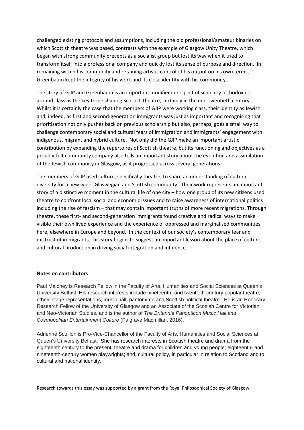challenged existing protocols and assumptions, including the old professional/amateur binaries on which Scottish theatre was based, contrasts with the example of Glasgow Unity Theatre, which began with strong community precepts as a socialist group but lost its way when it tried to transform itself into a professional company and quickly lost its sense of purpose and direction. In remaining within his community and retaining artistic control of his output on his own terms, Greenbaum kept the integrity of his work and its close identity with his community.

The story of GJIP and Greenbaum is an important modifier in respect of scholarly orthodoxies around class as the key trope shaping Scottish theatre, certainly in the mid-twentieth century. Whilst it is certainly the case that the members of GJIP were working class, their identity as Jewish and, indeed, as first and second-generation immigrants was just as important and recognising that prioritisation not only pushes back on previous scholarship but also, perhaps, goes a small way to challenge contemporary social and cultural fears of immigration and immigrants' engagement with indigenous, migrant and hybrid culture. Not only did the GJIP make an important artistic contribution by expanding the repertoires of Scottish theatre, but its functioning and objectives as a proudly-felt community company also tells an important story about the evolution and assimilation of the Jewish community in Glasgow, as it progressed across several generations.

The members of GJIP used culture, specifically theatre, to share an understanding of cultural diversity for a new wider Glaswegian and Scottish community. Their work represents an important story of a distinctive moment in the cultural life of one city – how one group of its new citizens used theatre to confront local social and economic issues and to raise awareness of international politics including the rise of fascism – that may contain important truths of more recent migrations. Through theatre, these first- and second-generation immigrants found creative and radical ways to make visible their own lived experience and the experience of oppressed and marginalised communities here, elsewhere in Europe and beyond. In the context of our society's contemporary fear and mistrust of immigrants, this story begins to suggest an important lesson about the place of culture and cultural production in driving social integration and influence.

## **Notes on contributors**

 $\overline{a}$ 

Paul Maloney is Research Fellow in the Faculty of Arts, Humanities and Social Sciences at Queen's University Belfast. His research interests include nineteenth- and twentieth-century popular theatre, ethnic stage representations, music hall, pantomime and Scottish political theatre. He is an Honorary Research Fellow of the University of Glasgow and an Associate of the Scottish Centre for Victorian and Neo-Victorian Studies, and is the author of *The Britannia Panopticon Music Hall and Cosmopolitan Entertainment Culture* (Palgrave Macmillan, 2016).

Adrienne Scullion is Pro-Vice-Chancellor of the Faculty of Arts, Humanities and Social Sciences at Queen's University Belfast. She has research interests in Scottish theatre and drama from the eighteenth century to the present; theatre and drama for children and young people; eighteenth- and nineteenth-century women playwrights; and, cultural policy, in particular in relation to Scotland and to cultural and national identity.

Research towards this essay was supported by a grant from the Royal Philosophical Society of Glasgow.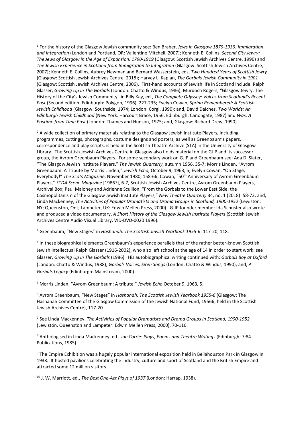1 For the history of the Glasgow Jewish community see: Ben Braber, *Jews in Glasgow 1879-1939: Immigration and Integration* (London and Portland, OR: Vallentine Mitchell, 2007); Kenneth E. Collins, *Second City Jewry: The Jews of Glasgow in the Age of Expansion, 1790-1919* (Glasgow: Scottish Jewish Archives Centre, 1990) and *The Jewish Experience in Scotland from Immigration to Integration* (Glasgow: Scottish Jewish Archives Centre, 2007); Kenneth E. Collins, Aubrey Newman and Bernard Wasserstein, eds, *Two Hundred Years of Scottish Jewry* (Glasgow: Scottish Jewish Archives Centre, 2018); Harvey L. Kaplan, *The Gorbals Jewish Community in 1901* (Glasgow: Scottish Jewish Archives Centre, 2006). First-hand accounts of Jewish life in Scotland include: Ralph Glasser, *Growing Up in The Gorbals* (London: Chatto & Windus, 1986); Murdoch Rogers, "Glasgow Jewry: The History of the City's Jewish Community" in Billy Kay, ed., *The Complete Odyssey: Voices from Scotland's Recent Past* (Second edition. Edinburgh: Polygon, 1996), 227-235; Evelyn Cowan, *Spring Remembered: A Scottish Jewish Childhood* (Glasgow: Southside, 1974; London: Corgi, 1990); and, David Daiches, *Two Worlds: An Edinburgh Jewish Childhood* (New York: Harcourt Brace, 1956; Edinburgh: Canongate, 1987) and *Was: A Pastime from Time Past* (London: Thames and Hudson, 1975; and, Glasgow: Richard Drew, 1990).

<sup>2</sup> A wide collection of primary materials relating to the Glasgow Jewish Institute Players, including programmes, cuttings, photographs, costume designs and posters, as well as Greenbaum's papers, correspondence and play scripts, is held in the Scottish Theatre Archive (STA) in the University of Glasgow Library. The Scottish Jewish Archives Centre in Glasgow also holds material on the GJIP and its successor group, the Avrom Greenbaum Players. For some secondary work on GJIP and Greenbaum see: Ada D. Slater, "The Glasgow Jewish Institute Players," *The Jewish Quarterly*, autumn 1956, 35-7; Morris Linden, "Avrom Greenbaum: A Tribute by Morris Linden," *Jewish Echo,* October 9, 1963, 5; Evelyn Cowan, "On Stage, Everybody!" *The Scots Magazine*, November 1980, 158-66; Cowan, "50th Anniversary of Avrom Greenbaum Players," *SCDA Scene Magazine* [1986?], 6-7, Scottish Jewish Archives Centre, Avrom Greenbaum Players, Archival Box; Paul Maloney and Adrienne Scullion, "From the Gorbals to the Lower East Side: the Cosmopolitanism of the Glasgow Jewish Institute Players," *New Theatre Quarterly* 34, no. 1 (2018): 58-73; and, Linda Mackenney, *The Activities of Popular Dramatists and Drama Groups in Scotland, 1900-1952* (Lewiston, NY; Queenston, Ont; Lampeter, UK: Edwin Mellen Press, 2000). GJIP founder member Ida Schuster also wrote and produced a video documentary, *A Short History of the Glasgow Jewish Institute Players* (Scottish Jewish Archives Centre Audio Visual Library. VID-DVD-0020 1996).

<sup>3</sup> Greenbaum, "New Stages" in *Hashanah: The Scottish Jewish Yearbook 1955-6*: 117-20, 118.

<sup>4</sup> In these biographical elements Greenbaum's experience parallels that of the rather better-known Scottish Jewish intellectual Ralph Glasser (1916-2002), who also left school at the age of 14 in order to start work: see Glasser, *Growing Up in The Gorbals* (1986). His autobiographical writing continued with: *Gorbals Boy at Oxford*  (London: Chatto & Windus, 1988); *Gorbals Voices, Siren Songs* (London: Chatto & Windus, 1990); and, *A Gorbals Legacy* (Edinburgh: Mainstream, 2000).

<sup>5</sup> Morris Linden, "Avrom Greenbaum: A tribute," *Jewish Echo* October 9, 1963, 5.

<sup>6</sup> Avrom Greenbaum, "New Stages" in *Hashanah: The Scottish Jewish Yearbook 1955-6* (Glasgow: The Hashanah Committee of the Glasgow Commission of the Jewish National Fund, 19566; held in the Scottish Jewish Archives Centre), 117-20.

<sup>7</sup> See Linda Mackenney, *The Activities of Popular Dramatists and Drama Groups in Scotland, 1900-1952* (Lewiston, Queenston and Lampeter: Edwin Mellen Press, 2000), 70-110.

<sup>8</sup> Anthologised in Linda Mackenney, ed., *Joe Corrie: Plays, Poems and Theatre Writings* (Edinburgh: 7:84 Publications, 1985).

<sup>9</sup> The Empire Exhibition was a hugely popular international exposition held in Bellahouston Park in Glasgow in 1938. It hosted pavilions celebrating the industry, culture and sport of Scotland and the British Empire and attracted some 12 million visitors.

<sup>10</sup> J. W. Marriott, ed., *The Best One-Act Plays of 1937* (London: Harrap, 1938).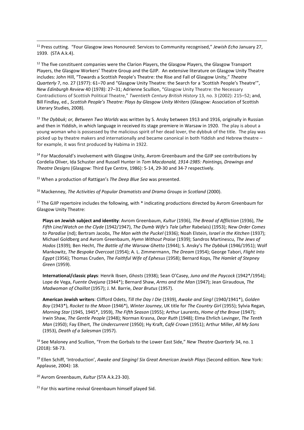11 Press cutting. "Four Glasgow Jews Honoured: Services to Community recognised," *Jewish Echo* January 27, 1939. (STA A.k.4).

 $12$  The five constituent companies were the Clarion Players, the Glasgow Players, the Glasgow Transport Players, the Glasgow Workers' Theatre Group and the GJIP. An extensive literature on Glasgow Unity Theatre includes: John Hill, "Towards a Scottish People's Theatre: the Rise and Fall of Glasgow Unity," *Theatre Quarterly* 7, no. 27 (1977): 61–70 and "Glasgow Unity Theatre: the Search for a 'Scottish People's Theatre'", *New Edinburgh Review* 40 (1978): 27–31; Adrienne Scullion, "Glasgow Unity Theatre: the Necessary Contradictions of Scottish Political Theatre," *Twentieth Century British History* 13, no. 3 (2002): 215–52; and, Bill Findlay, ed., *Scottish People's Theatre: Plays by Glasgow Unity Writers* (Glasgow: Association of Scottish Literary Studies, 2008).

<sup>13</sup> *The Dybbuk; or, Between Two Worlds* was written by S. Ansky between 1913 and 1916, originally in Russian and then in Yiddish, in which language in received its stage premiere in Warsaw in 1920. The play is about a young woman who is possessed by the malicious spirit of her dead lover, the dybbuk of the title. The play was picked up by theatre makers and internationally and became canonical in both Yiddish and Hebrew theatre – for example, it was first produced by Habima in 1922.

<sup>14</sup> For Macdonald's involvement with Glasgow Unity, Avrom Greenbaum and the GJIP see contributions by Cordelia Oliver, Ida Schuster and Russell Hunter in *Tom Macdonald, 1914-1985: Paintings, Drawings and Theatre Designs* (Glasgow: Third Eye Centre, 1986): 5-14, 29-30 and 34-7 respectively.

<sup>15</sup> When a production of Rattigan's *The Deep Blue Sea* was presented.

<sup>16</sup> Mackenney, *The Activities of Popular Dramatists and Drama Groups in Scotland* (2000).

 $17$  The GJIP repertoire includes the following, with  $*$  indicating productions directed by Avrom Greenbaum for Glasgow Unity Theatre:

**Plays on Jewish subject and identity**: Avrom Greenbaum, *Kultur* (1936), *The Bread of Affliction* (1936), *The Fifth Line*/*Watch on the Clyde* (1942/1947), *The Dumb Wife's Tale* (after Rabelais) (1953); *New Order Comes to Paradise* (nd); Bertram Jacobs, *The Man with the Puckel* (1936); Noah Elstein, *Israel in the Kitchen* (1937); Michael Goldberg and Avrom Greenbaum, *Hymn Without Praise* (1939); Sandros Martinescu, *The Jews of Hodos* (1939); Ben Hecht, *The Battle of the Warsaw Ghetto* (1944); S. Ansky's *The Dybbuk* (1946/1951); Wolf Mankowitz, *The Bespoke Overcoat* (1954); A. L. Zimmermann, *The Dream* (1954); George Tabori, *Flight Into Egypt* (1956); Thomas Cruden, *The Faithful Wife of Ephesus* (1958); Bernard Kops, *The Hamlet of Stepney Green* (1959).

**International/classic plays**: Henrik Ibsen, *Ghosts* (1938); Sean O'Casey, *Juno and the Paycock* (1942\*/1954); Lope de Vega, *Fuente Ovejuna* (1944\*); Bernard Shaw, *Arms and the Man* (1947); Jean Giraudoux, *The Madwoman of Chaillot* (1957); J. M. Barrie, *Dear Brutus* (1957).

**American Jewish writers**: Clifford Odets, *Till the Day I Die* (1939), *Awake and Sing!* (1940/1941\*), *Golden Boy* (1943\*), *Rocket to the Moon* (1946\*), *Winter Journey*, UK title for *The Country Girl* (1955); Sylvia Regan, *Morning Star* (1945, 1945\*, 1959), *The Fifth Season* (1955); Arthur Laurents, *Home of the Brave* (1947); Irwin Shaw, *The Gentle People* (1948); Norman Krasna, *Dear Ruth* (1948); Elma Ehrlich Levinger, *The Tenth Man* (1950); Fay Elhert, *The Undercurrent* (1950); Hy Kraft, *Café Crown* (1951); Arthur Miller, *All My Sons* (1953), *Death of a Salesman* (1957).

<sup>18</sup> See Maloney and Scullion, "From the Gorbals to the Lower East Side," *New Theatre Quarterly* 34, no. 1 (2018): 58-73.

<sup>19</sup> Ellen Schiff, 'Introduction', *Awake and Singing! Six Great American Jewish Plays* (Second edition. New York: Applause, 2004): 18.

<sup>20</sup> Avrom Greenbaum, *Kultur* (STA A.k.23-30).

<sup>21</sup> For this wartime revival Greenbaum himself played Sid.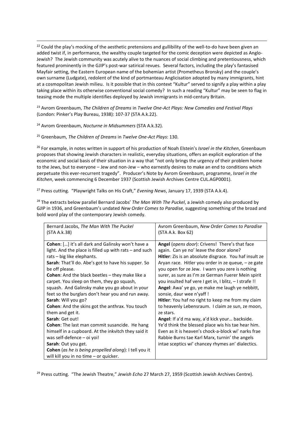<sup>22</sup> Could the play's mocking of the aesthetic pretensions and gullibility of the well-to-do have been given an added twist if, in performance, the wealthy couple targeted for the comic deception were depicted as Anglo-Jewish? The Jewish community was acutely alive to the nuances of social climbing and pretentiousness, which featured prominently in the GJIP's post-war satirical revues. Several factors, including the play's fantasised Mayfair setting, the Eastern European name of the bohemian artist (Prometheus Bronsky) and the couple's own surname (Ludgate), redolent of the kind of portmanteau Anglicisation adopted by many immigrants, hint at a cosmopolitan Jewish milieu. Is it possible that in this context "Kultur" served to signify a play within a play taking place within its otherwise conventional social comedy? In such a reading "Kultur" may be seen to flag in teasing mode the multiple identifies deployed by Jewish immigrants in mid-century Britain.

<sup>23</sup> Avrom Greenbaum, *The Children of Dreams* in *Twelve One-Act Plays: New Comedies and Festival Plays* (London: Pinker's Play Bureau, 1938): 107-37 (STA A.k.22).

<sup>24</sup> Avrom Greenbaum, *Nocturne in Midsummers* (STA A.k.32).

<sup>25</sup> Greenbaum, *The Children of Dreams* in *Twelve One-Act Plays*: 130.

<sup>26</sup> For example, in notes written in support of his production of Noah Elstein's *Israel in the Kitchen*, Greenbaum proposes that showing Jewish characters in realistic, everyday situations, offers an explicit exploration of the economic and social basis of their situation in a way that "not only brings the urgency of their problem home to the Jews, but to everyone – Jew and non-Jew – who earnestly desires to make an end to conditions which perpetuate this ever-recurrent tragedy". Producer's Note by Avrom Greenbaum, programme, *Israel in the Kitchen*, week commencing 6 December 1937 (Scottish Jewish Archives Centre CUL.AGP0001).

<sup>27</sup> Press cutting. "Playwright Talks on His Craft," *Evening News*, January 17, 1939 (STA A.k.4).

<sup>28</sup> The extracts below parallel Bernard Jacobs' *The Man With The Puckel*, a Jewish comedy also produced by GJIP in 1936, and Greenbaum's undated *New Order Comes to Paradise,* suggesting something of the broad and bold word play of the contemporary Jewish comedy.

| Bernard Jacobs, The Man With The Puckel                                                                                                                                                                                                                                                                                                                                                                                                                                                                                                                                                                                                                                                                                                                                                                                                                 | Avrom Greenbaum, New Order Comes to Paradise                                                                                                                                                                                                                                                                                                                                                                                                                                                                                                                                                                                                                                                                                                                                                                                                                   |
|---------------------------------------------------------------------------------------------------------------------------------------------------------------------------------------------------------------------------------------------------------------------------------------------------------------------------------------------------------------------------------------------------------------------------------------------------------------------------------------------------------------------------------------------------------------------------------------------------------------------------------------------------------------------------------------------------------------------------------------------------------------------------------------------------------------------------------------------------------|----------------------------------------------------------------------------------------------------------------------------------------------------------------------------------------------------------------------------------------------------------------------------------------------------------------------------------------------------------------------------------------------------------------------------------------------------------------------------------------------------------------------------------------------------------------------------------------------------------------------------------------------------------------------------------------------------------------------------------------------------------------------------------------------------------------------------------------------------------------|
| (STA A.k.38)                                                                                                                                                                                                                                                                                                                                                                                                                                                                                                                                                                                                                                                                                                                                                                                                                                            | (STA A.k. Box 62)                                                                                                                                                                                                                                                                                                                                                                                                                                                                                                                                                                                                                                                                                                                                                                                                                                              |
| <b>Cohen:</b> [] it's all dark and Galinsky won't have a<br>light. And the place is filled up with rats – and such<br>rats - big like elephants.<br><b>Sarah:</b> That'll do. Abe's got to have his supper. So<br>be off please.<br><b>Cohen:</b> And the black beetles $-$ they make like a<br>carpet. You sleep on them, they go squash,<br>squash. And Galinsky make you go about in your<br>feet so the burglars don't hear you and run away.<br>Sarah: Will you go?<br><b>Cohen:</b> And the skins got the anthrax. You touch<br>them and get it.<br>Sarah: Get out!<br><b>Cohen:</b> The last man commit susancide. He hang<br>himself in a cupboard. At the inkvitch they said it<br>was self-defence - oi yoi!<br>Sarah: Out you get.<br><b>Cohen</b> (as he is being propelled along): I tell you it<br>will kill you in no time - or quicker. | Angel (opens door): Crivens! There's that face<br>again. Can ye no' leave the door alone?<br>Hitler: Zis is an absolute disgrace. You haf insult ze<br>Aryan race. Hitler you order in ze queue, - ze gate<br>you open for ze Jew. I warn you zere is nothing<br>surer, as sure as I'm ze German Fuerer Mein spirit<br>you insulted haf vere I get in, I blitz, - I strafe !!<br>Angel: Awa' ye go, ye make me laugh ye nebbitt,<br>sonsie, daur wee n'yaff!<br><b>Hitler:</b> You haf no right to keep me from my claim<br>to heavenly Lebensraum. I claim ze sun, ze moon,<br>ze stars.<br>Angel: If a'd ma way, a'd kick your backside.<br>Ye'd think the blessed place wis his tae hear him.<br>Even as it is heaven's chock-a-block wi' narks frae<br>Rabbie Burns tae Karl Marx, turnin' the angels<br>intae sceptics wi' chancey rhymes an' dialectics. |

<sup>29</sup> Press cutting. "The Jewish Theatre," *Jewish Echo* 27 March 27, 1959 (Scottish Jewish Archives Centre).